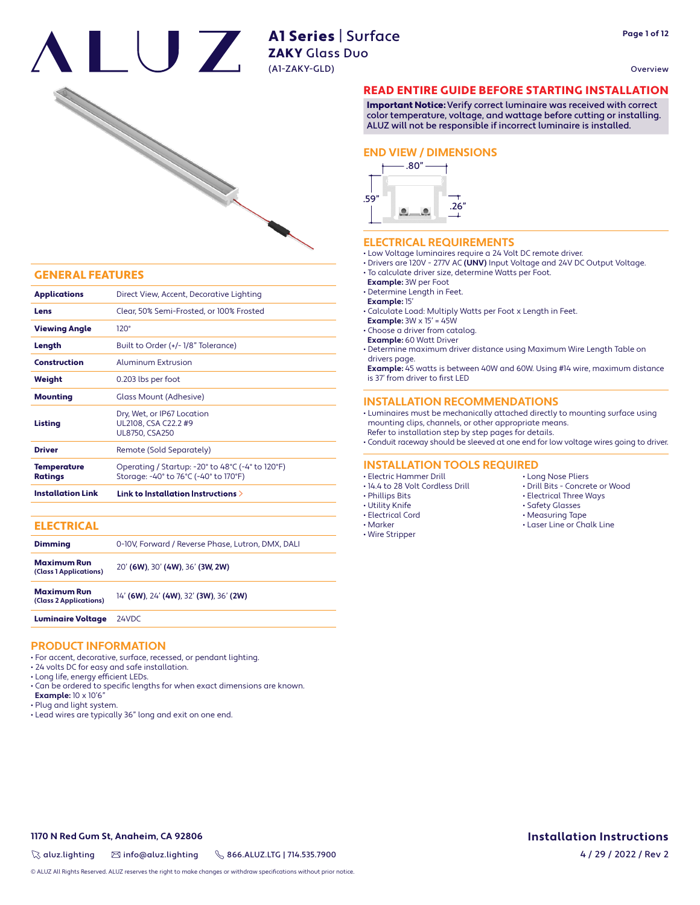# A1 Series | Surface **Example 20 All Series** poor (A1-ZAKY-GLD)

Overview



# GENERAL FEATURES

| Construction<br>Aluminum Extrusion<br>0.203 lbs per foot<br>Weight<br>Glass Mount (Adhesive)<br><b>Mounting</b><br>Dry, Wet, or IP67 Location<br>UL2108, CSA C22.2 #9<br>Listing<br><b>UL8750, CSA250</b><br><b>Driver</b><br>Remote (Sold Separately)<br>Operating / Startup: -20° to 48°C (-4° to 120°F)<br><b>Temperature</b><br>Storage: -40° to 76°C (-40° to 170°F)<br><b>Ratings</b> |  |
|---------------------------------------------------------------------------------------------------------------------------------------------------------------------------------------------------------------------------------------------------------------------------------------------------------------------------------------------------------------------------------------------|--|
|                                                                                                                                                                                                                                                                                                                                                                                             |  |
|                                                                                                                                                                                                                                                                                                                                                                                             |  |
|                                                                                                                                                                                                                                                                                                                                                                                             |  |
|                                                                                                                                                                                                                                                                                                                                                                                             |  |
|                                                                                                                                                                                                                                                                                                                                                                                             |  |
|                                                                                                                                                                                                                                                                                                                                                                                             |  |
| Built to Order (+/-1/8" Tolerance)<br>Length                                                                                                                                                                                                                                                                                                                                                |  |
| $120^\circ$<br><b>Viewing Angle</b>                                                                                                                                                                                                                                                                                                                                                         |  |
| Clear, 50% Semi-Frosted, or 100% Frosted<br>Lens                                                                                                                                                                                                                                                                                                                                            |  |
| <b>Applications</b><br>Direct View, Accent, Decorative Lighting                                                                                                                                                                                                                                                                                                                             |  |

| <b>ELECTRICAL</b>                            |                                                   |
|----------------------------------------------|---------------------------------------------------|
| <b>Dimming</b>                               | 0-10V. Forward / Reverse Phase. Lutron. DMX. DALI |
| <b>Maximum Run</b><br>(Class 1 Applications) | 20' (6W), 30' (4W), 36' (3W, 2W)                  |
| <b>Maximum Run</b><br>(Class 2 Applications) | 14' (6W), 24' (4W), 32' (3W), 36' (2W)            |
| <b>Luminaire Voltage</b>                     | 24VDC                                             |

# **PRODUCT INFORMATION**

- For accent, decorative, surface, recessed, or pendant lighting.
- 24 volts DC for easy and safe installation.
- Long life, energy efficient LEDs.
- Can be ordered to specific lengths for when exact dimensions are known.
- **Example:** 10 x 10'6"
- Plug and light system.
- Lead wires are typically 36" long and exit on one end.

# READ ENTIRE GUIDE BEFORE STARTING INSTALLATION

Important Notice: Verify correct luminaire was received with correct color temperature, voltage, and wattage before cutting or installing. ALUZ will not be responsible if incorrect luminaire is installed.

### **END VIEW / DIMENSIONS**



# **ELECTRICAL REQUIREMENTS**

• Low Voltage luminaires require a 24 Volt DC remote driver.

- Drivers are 120V 277V AC **(UNV)** Input Voltage and 24V DC Output Voltage.
- To calculate driver size, determine Watts per Foot.
- **Example:** 3W per Foot
- Determine Length in Feet.
- **Example:** 15'
- Calculate Load: Multiply Watts per Foot x Length in Feet.
- **Example:** 3W x 15' = 45W

• Choose a driver from catalog.

**Example:** 60 Watt Driver

• Determine maximum driver distance using Maximum Wire Length Table on drivers page.

 **Example:** 45 watts is between 40W and 60W. Using #14 wire, maximum distance is 37' from driver to first LED

# **INSTALLATION RECOMMENDATIONS**

• Luminaires must be mechanically attached directly to mounting surface using mounting clips, channels, or other appropriate means.

Refer to installation step by step pages for details.

• Conduit raceway should be sleeved at one end for low voltage wires going to driver.

# **INSTALLATION TOOLS REQUIRED**

- Electric Hammer Drill
- 14.4 to 28 Volt Cordless Drill
- Phillips Bits
- Utility Knife
- Electrical Cord
- Marker
- Wire Stripper
- Long Nose Pliers
- Drill Bits Concrete or Wood
- Electrical Three Ways
- Safety Glasses
- 
- Laser Line or Chalk Line

- Measuring Tape
	-

**1170 N Red Gum St, Anaheim, CA 92806**

 $\%$  aluz.lighting  $\%$  info@aluz.lighting  $\%$  866.ALUZ.LTG | 714.535.7900

© ALUZ All Rights Reserved. ALUZ reserves the right to make changes or withdraw specifications without prior notice.

**Installation Instructions**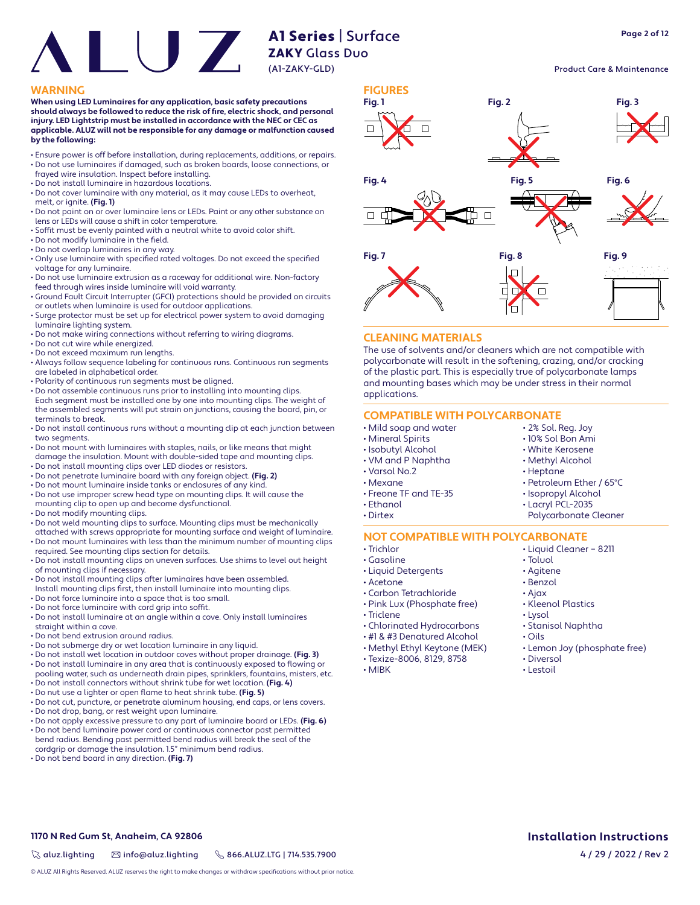**Page 2 of 12**

### Product Care & Maintenance

### **WARNING FIGURES**

**When using LED Luminaires for any application, basic safety precautions**  should always be followed to reduce the risk of fire, electric shock, and personal **injury. LED Lightstrip must be installed in accordance with the NEC or CEC as applicable. ALUZ will not be responsible for any damage or malfunction caused by the following:**

- Ensure power is off before installation, during replacements, additions, or repairs. • Do not use luminaires if damaged, such as broken boards, loose connections, or
- frayed wire insulation. Inspect before installing.
- Do not install luminaire in hazardous locations.
- Do not cover luminaire with any material, as it may cause LEDs to overheat, melt, or ignite. **(Fig. 1)**
- Do not paint on or over luminaire lens or LEDs. Paint or any other substance on lens or LEDs will cause a shift in color temperature.
- Soffit must be evenly painted with a neutral white to avoid color shift.
- $\cdot$  Do not modify luminaire in the field.
- Do not overlap luminaires in any way.
- Only use luminaire with specified rated voltages. Do not exceed the specified voltage for any luminaire.
- Do not use luminaire extrusion as a raceway for additional wire. Non-factory feed through wires inside luminaire will void warranty.
- Ground Fault Circuit Interrupter (GFCI) protections should be provided on circuits or outlets when luminaire is used for outdoor applications.
- Surge protector must be set up for electrical power system to avoid damaging luminaire lighting system.
- Do not make wiring connections without referring to wiring diagrams.
- Do not cut wire while energized.
- Do not exceed maximum run lengths.
- Always follow sequence labeling for continuous runs. Continuous run segments are labeled in alphabetical order.
- Polarity of continuous run segments must be aligned.
- Do not assemble continuous runs prior to installing into mounting clips. Each segment must be installed one by one into mounting clips. The weight of the assembled segments will put strain on junctions, causing the board, pin, or terminals to break.
- Do not install continuous runs without a mounting clip at each junction between two segments.
- Do not mount with luminaires with staples, nails, or like means that might damage the insulation. Mount with double-sided tape and mounting clips.
- Do not install mounting clips over LED diodes or resistors.
- Do not penetrate luminaire board with any foreign object. **(Fig. 2)**
- Do not mount luminaire inside tanks or enclosures of any kind.
- Do not use improper screw head type on mounting clips. It will cause the mounting clip to open up and become dysfunctional.
- Do not modify mounting clips.
- Do not weld mounting clips to surface. Mounting clips must be mechanically
- attached with screws appropriate for mounting surface and weight of luminaire. • Do not mount luminaires with less than the minimum number of mounting clips
- required. See mounting clips section for details. • Do not install mounting clips on uneven surfaces. Use shims to level out height of mounting clips if necessary.
- Do not install mounting clips after luminaires have been assembled.
- Install mounting clips first, then install luminaire into mounting clips.
- Do not force luminaire into a space that is too small.
- Do not force luminaire with cord grip into soffit.
- Do not install luminaire at an angle within a cove. Only install luminaires straight within a cove.
- Do not bend extrusion around radius.
- Do not submerge dry or wet location luminaire in any liquid.
- Do not install wet location in outdoor coves without proper drainage. **(Fig. 3)** • Do not install luminaire in any area that is continuously exposed to flowing or
- pooling water, such as underneath drain pipes, sprinklers, fountains, misters, etc. • Do not install connectors without shrink tube for wet location. **(Fig. 4)**
- Do nut use a lighter or open flame to heat shrink tube. **(Fig. 5)**
- Do not cut, puncture, or penetrate aluminum housing, end caps, or lens covers.
- Do not drop, bang, or rest weight upon luminaire.
- Do not apply excessive pressure to any part of luminaire board or LEDs. **(Fig. 6)**
- Do not bend luminaire power cord or continuous connector past permitted bend radius. Bending past permitted bend radius will break the seal of the cordgrip or damage the insulation. 1.5" minimum bend radius.
- Do not bend board in any direction. **(Fig. 7)**



# **CLEANING MATERIALS**

The use of solvents and/or cleaners which are not compatible with polycarbonate will result in the softening, crazing, and/or cracking of the plastic part. This is especially true of polycarbonate lamps and mounting bases which may be under stress in their normal applications.

# **COMPATIBLE WITH POLYCARBONATE**

- Mild soap and water
- Mineral Spirits
- Isobutyl Alcohol
- VM and P Naphtha
- Varsol No.2
- Mexane
- Freone TF and TE-35
- Ethanol
- Dirtex
- 

# **NOT COMPATIBLE WITH POLYCARBONATE**

- Trichlor
- Gasoline
- Liquid Detergents
- Acetone
- Carbon Tetrachloride • Pink Lux (Phosphate free)
- Triclene
- 
- Chlorinated Hydrocarbons
- #1 & #3 Denatured Alcohol
- Methyl Ethyl Keytone (MEK)
- Texize-8006, 8129, 8758
- MIBK

• Toluol • Agitene

• Liquid Cleaner – 8211

• 2% Sol. Reg. Joy • 10% Sol Bon Ami • White Kerosene • Methyl Alcohol • Heptane

• Petroleum Ether / 65°C • Isopropyl Alcohol • Lacryl PCL-2035 Polycarbonate Cleaner

- Benzol
- Ajax
- Kleenol Plastics
- Lysol
- Stanisol Naphtha
- Oils
- Lemon Joy (phosphate free)
- Diversol
- Lestoil

**1170 N Red Gum St, Anaheim, CA 92806**

 $\%$  aluz.lighting  $\%$  info@aluz.lighting  $\%$  866.ALUZ.LTG | 714.535.7900

© ALUZ All Rights Reserved. ALUZ reserves the right to make changes or withdraw specifications without prior notice.

# **Installation Instructions**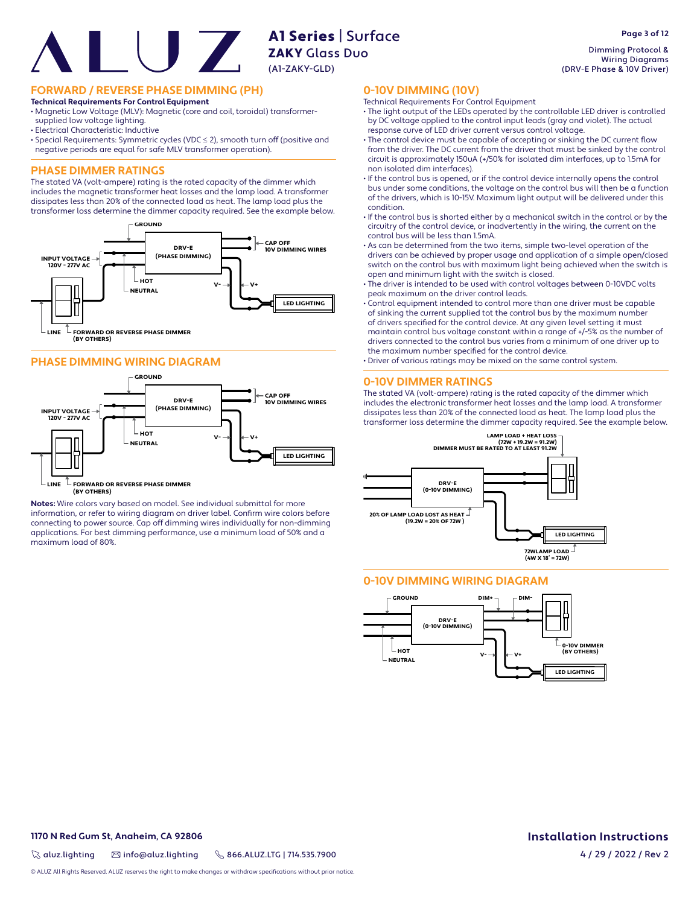**FORWARD / REVERSE PHASE DIMMING (PH)**

### **Technical Requirements For Control Equipment**

• Magnetic Low Voltage (MLV): Magnetic (core and coil, toroidal) transformersupplied low voltage lighting.

- Electrical Characteristic: Inductive
- Special Requirements: Symmetric cycles (VDC ≤ 2), smooth turn off (positive and negative periods are equal for safe MLV transformer operation).

# **PHASE DIMMER RATINGS**

The stated VA (volt-ampere) rating is the rated capacity of the dimmer which includes the magnetic transformer heat losses and the lamp load. A transformer dissipates less than 20% of the connected load as heat. The lamp load plus the transformer loss determine the dimmer capacity required. See the example below.



# **PHASE DIMMING WIRING DIAGRAM**



 $\mathbb L$  FORWARD OR REVERSE PHASE DIMMER **(BY OTHERS) LINE**

**Notes:** Wire colors vary based on model. See individual submittal for more information, or refer to wiring diagram on driver label. Confirm wire colors before connecting to power source. Cap off dimming wires individually for non-dimming applications. For best dimming performance, use a minimum load of 50% and a maximum load of 80%.

Dimming Protocol & Wiring Diagrams (DRV-E Phase & 10V Driver)

# **0-10V DIMMING (10V)**

- Technical Requirements For Control Equipment
- The light output of the LEDs operated by the controllable LED driver is controlled by DC voltage applied to the control input leads (gray and violet). The actual response curve of LED driver current versus control voltage.
- The control device must be capable of accepting or sinking the DC current flow from the driver. The DC current from the driver that must be sinked by the control circuit is approximately 150uA (+/50% for isolated dim interfaces, up to 1.5mA for non isolated dim interfaces).
- If the control bus is opened, or if the control device internally opens the control bus under some conditions, the voltage on the control bus will then be a function of the drivers, which is 10-15V. Maximum light output will be delivered under this condition.
- If the control bus is shorted either by a mechanical switch in the control or by the circuitry of the control device, or inadvertently in the wiring, the current on the control bus will be less than 1.5mA.
- As can be determined from the two items, simple two-level operation of the drivers can be achieved by proper usage and application of a simple open/closed switch on the control bus with maximum light being achieved when the switch is open and minimum light with the switch is closed.
- The driver is intended to be used with control voltages between 0-10VDC volts peak maximum on the driver control leads.
- Control equipment intended to control more than one driver must be capable of sinking the current supplied tot the control bus by the maximum number of drivers specified for the control device. At any given level setting it must maintain control bus voltage constant within a range of +/-5% as the number of drivers connected to the control bus varies from a minimum of one driver up to the maximum number specified for the control device.
- Driver of various ratings may be mixed on the same control system.

# **0-10V DIMMER RATINGS**

The stated VA (volt-ampere) rating is the rated capacity of the dimmer which includes the electronic transformer heat losses and the lamp load. A transformer dissipates less than 20% of the connected load as heat. The lamp load plus the transformer loss determine the dimmer capacity required. See the example below.



# **0-10V DIMMING WIRING DIAGRAM**



# **1170 N Red Gum St, Anaheim, CA 92806**

 $\%$  aluz.lighting  $\%$  info@aluz.lighting  $\%$  866.ALUZ.LTG | 714.535.7900

© ALUZ All Rights Reserved. ALUZ reserves the right to make changes or withdraw specifications without prior notice

**Installation Instructions** 4 / 29 / 2022 / Rev 2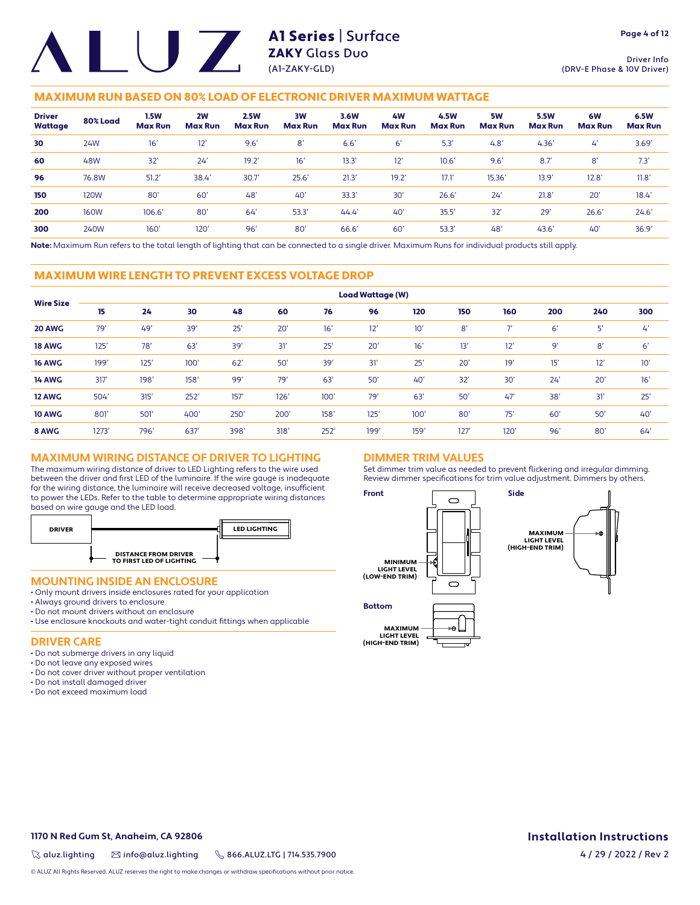Driver Info (DRV-E Phase & 10V Driver)

# MAXIMUM RUN BASED ON 80% LOAD OF ELECTRONIC DRIVER MAXIMUM WATTAGE

| <b>Driver</b><br>Wattage | 80% Load    | <b>1.5W</b><br><b>Max Run</b> | 2W<br><b>Max Run</b> | <b>2.5W</b><br><b>Max Run</b> | 3W<br><b>Max Run</b> | 3.6W<br><b>Max Run</b> | 4 <b>W</b><br><b>Max Run</b> | 4.5W<br><b>Max Run</b> | 5W<br><b>Max Run</b> | <b>5.5W</b><br><b>Max Run</b> | 6W<br><b>Max Run</b> | 6.5W<br><b>Max Run</b> |
|--------------------------|-------------|-------------------------------|----------------------|-------------------------------|----------------------|------------------------|------------------------------|------------------------|----------------------|-------------------------------|----------------------|------------------------|
| 30                       | 24W         | 16'                           | 12'                  | 9.6'                          | 8'                   | 6.6'                   | 6'                           | 5.3                    | 4.8'                 | 4.36'                         | $\mathcal{L}'$       | 3.69'                  |
| 60                       | 48W         | 32'                           | 24'                  | 19.2'                         | 16'                  | 13.3'                  | 12'                          | 10.6'                  | 9.6'                 | 8.7'                          | 8'                   | 7.3'                   |
| 96                       | 76.8W       | 51.2'                         | 38.4                 | 30.7'                         | 25.6'                | 21.3'                  | 19.2'                        | 17.1                   | 15.36'               | 13.9'                         | 12.8'                | 11.8'                  |
| 150                      | 120W        | 80'                           | 60'                  | 48'                           | 40'                  | 33.3'                  | 30'                          | 26.6'                  | 24'                  | 21.8'                         | 20'                  | 18.4'                  |
| 200                      | <b>160W</b> | 106.6'                        | 80'                  | 64                            | 53.3'                | 44.4'                  | 40'                          | 35.5'                  | 32'                  | 29'                           | 26.6'                | 24.6'                  |
| 300                      | 240W        | $160^\circ$                   | 120'                 | 96'                           | 80'                  | 66.6'                  | 60'                          | 53.3                   | 48'                  | 43.6'                         | 40'                  | 36.9'                  |

**Note:** Maximum Run refers to the total length of lighting that can be connected to a single driver. Maximum Runs for individual products still apply.

# MAXIMUM WIRE LENGTH TO PREVENT EXCESS VOLTAGE DROP

|                  | <b>Load Wattage (W)</b> |      |      |      |      |      |      |      |      |                          |     |     |     |
|------------------|-------------------------|------|------|------|------|------|------|------|------|--------------------------|-----|-----|-----|
| <b>Wire Size</b> | 15                      | 24   | 30   | 48   | 60   | 76   | 96   | 120  | 150  | 160                      | 200 | 240 | 300 |
| 20 AWG           | 79'                     | 49   | 39'  | 25'  | 20'  | 16'  | 12'  | 10'  | 8'   | $\overline{\phantom{a}}$ | 6'  | 5'  | 4'  |
| <b>18 AWG</b>    | 125'                    | 78'  | 63   | 39'  | 31'  | 25'  | 20'  | 16'  | 13'  | 12'                      | 9'  | 8'  | 6'  |
| <b>16 AWG</b>    | 199'                    | 125' | 100' | 62'  | 50'  | 39'  | 31'  | 25'  | 20'  | 19'                      | 15' | 12' | 10' |
| <b>14 AWG</b>    | 317'                    | 198' | 158' | 99'  | 79'  | 63'  | 50'  | 40'  | 32'  | 30'                      | 24' | 20' | 16' |
| 12 AWG           | 504'                    | 315' | 252' | 157' | 126' | 100' | 79'  | 63'  | 50'  | 47'                      | 38' | 31' | 25' |
| <b>10 AWG</b>    | 801'                    | 501  | 400' | 250' | 200' | 158' | 125' | 100' | 80   | 75'                      | 60' | 50' | 40' |
| 8 AWG            | 1273'                   | 796' | 637  | 398' | 318' | 252' | 199' | 159' | 127' | 120'                     | 96' | 80  | 64' |

# **MAXIMUM WIRING DISTANCE OF DRIVER TO LIGHTING**

The maximum wiring distance of driver to LED Lighting refers to the wire used between the driver and first LED of the luminaire. If the wire gauge is inadequate for the wiring distance, the luminaire will receive decreased voltage, insufficient to power the LEDs. Refer to the table to determine appropriate wiring distances based on wire gauge and the LED load.



# **MOUNTING INSIDE AN ENCLOSURE**

- Only mount drivers inside enclosures rated for your application
- Always ground drivers to enclosure
- Do not mount drivers without an enclosure
- Use enclosure knockouts and water-tight conduit fittings when applicable

### **DRIVER CARE**

- Do not submerge drivers in any liquid
- Do not leave any exposed wires
- Do not cover driver without proper ventilation
- Do not install damaged driver
- Do not exceed maximum load

# **DIMMER TRIM VALUES**

Set dimmer trim value as needed to prevent flickering and irregular dimming. Review dimmer specifications for trim value adjustment. Dimmers by others.



**1170 N Red Gum St, Anaheim, CA 92806**

 $\%$  aluz.lighting  $\%$  info@aluz.lighting  $\%$  866.ALUZ.LTG | 714.535.7900

© ALUZ All Rights Reserved. ALUZ reserves the right to make changes or withdraw specifications without prior notice.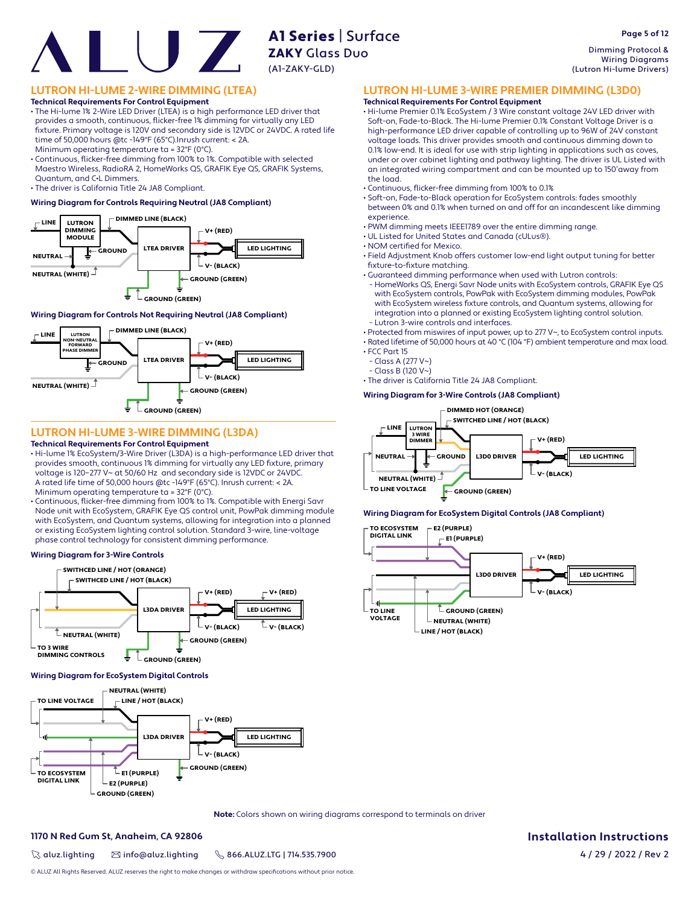# **AT Server**<br>**ZAKY** Glass Duo

# **LUTRON HI-LUME 2-WIRE DIMMING (LTEA)**

### **Technical Requirements For Control Equipment**

• The Hi-lume 1% 2-Wire LED Driver (LTEA) is a high performance LED driver that provides a smooth, continuous, flicker-free 1% dimming for virtually any LED fi xture. Primary voltage is 120V and secondary side is 12VDC or 24VDC. A rated life time of 50,000 hours @tc -149°F (65°C).Inrush current: < 2A.

Minimum operating temperature ta = 32°F (0°C).

• Continuous, flicker-free dimming from 100% to 1%. Compatible with selected Maestro Wireless, RadioRA 2, HomeWorks QS, GRAFIK Eye QS, GRAFIK Systems, Quantum, and C•L Dimmers.

• The driver is California Title 24 JA8 Compliant.

### **Wiring Diagram for Controls Requiring Neutral (JA8 Compliant)**



### **Wiring Diagram for Controls Not Requiring Neutral (JA8 Compliant)**



# **LUTRON HI-LUME 3-WIRE DIMMING (L3DA)**

### **Technical Requirements For Control Equipment**

- Hi-lume 1% EcoSystem/3-Wire Driver (L3DA) is a high-performance LED driver that provides smooth, continuous 1% dimming for virtually any LED fixture, primary voltage is 120–277 V~ at 50/60 Hz and secondary side is 12VDC or 24VDC. A rated life time of 50,000 hours @tc -149°F (65°C). Inrush current: < 2A. Minimum operating temperature ta = 32°F (0°C).
- Continuous, flicker-free dimming from 100% to 1%. Compatible with Energi Savr Node unit with EcoSystem, GRAFIK Eye QS control unit, PowPak dimming module with EcoSystem, and Quantum systems, allowing for integration into a planned or existing EcoSystem lighting control solution. Standard 3-wire, line-voltage phase control technology for consistent dimming performance.

### **Wiring Diagram for 3-Wire Controls**



### **Wiring Diagram for EcoSystem Digital Controls**



**Note:** Colors shown on wiring diagrams correspond to terminals on driver

### **1170 N Red Gum St, Anaheim, CA 92806**

 $\%$  aluz.lighting  $\%$  info@aluz.lighting  $\%$  866.ALUZ.LTG | 714.535.7900

**Installation Instructions**

4 / 29 / 2022 / Rev 2

Dimming Protocol & Wiring Diagrams (Lutron Hi-lume Drivers)

**Page 5 of 12**

# **LUTRON HI-LUME 3-WIRE PREMIER DIMMING (L3D0)**

### **Technical Requirements For Control Equipment**

• Hi-lume Premier 0.1% EcoSystem / 3 Wire constant voltage 24V LED driver with Soft-on, Fade-to-Black. The Hi-lume Premier 0.1% Constant Voltage Driver is a high-performance LED driver capable of controlling up to 96W of 24V constant voltage loads. This driver provides smooth and continuous dimming down to 0.1% low-end. It is ideal for use with strip lighting in applications such as coves, under or over cabinet lighting and pathway lighting. The driver is UL Listed with an integrated wiring compartment and can be mounted up to 150'away from the load.

- Continuous, flicker-free dimming from 100% to 0.1%
- Soft-on, Fade-to-Black operation for EcoSystem controls: fades smoothly between 0% and 0.1% when turned on and off for an incandescent like dimming experience.
- PWM dimming meets IEEE1789 over the entire dimming range.
- UL Listed for United States and Canada (cULus®).
- NOM certified for Mexico.

A1 Series | Surface

(A1-ZAKY-GLD)

- Field Adjustment Knob offers customer low-end light output tuning for better fixture-to-fixture matching.
- Guaranteed dimming performance when used with Lutron controls:
- HomeWorks QS, Energi Savr Node units with EcoSystem controls, GRAFIK Eye QS with EcoSystem controls, PowPak with EcoSystem dimming modules, PowPak with EcoSystem wireless fixture controls, and Quantum systems, allowing for integration into a planned or existing EcoSystem lighting control solution. - Lutron 3-wire controls and interfaces.
- Protected from miswires of input power, up to 277 V~, to EcoSystem control inputs.

• Rated lifetime of 50,000 hours at 40 °C (104 °F) ambient temperature and max load. • FCC Part 15

- Class A (277 V~)
- Class B (120 V~)
- The driver is California Title 24 JA8 Compliant.

### **Wiring Diagram for 3-Wire Controls (JA8 Compliant)**



### **Wiring Diagram for EcoSystem Digital Controls (JA8 Compliant)**

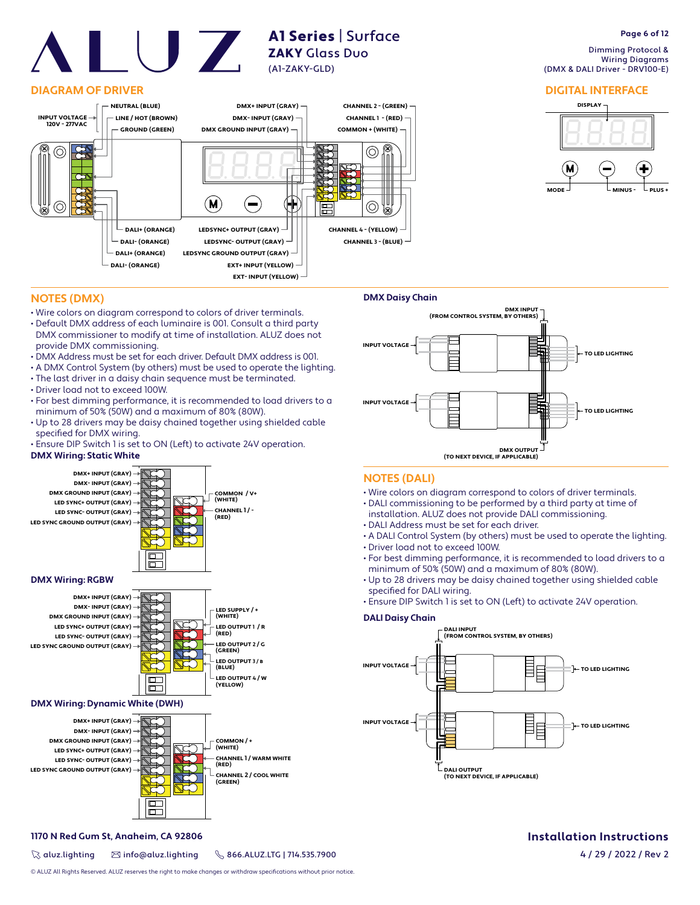# **DIAGRAM OF DRIVER**



A1 Series | Surface

ZAKY Glass Duo (A1-ZAKY-GLD)

# **Page 6 of 12**

 Dimming Protocol & Wiring Diagrams (DMX & DALI Driver - DRV100-E)

# **DIGITAL INTERFACE**



# **NOTES (DMX)**

- Wire colors on diagram correspond to colors of driver terminals.
- Default DMX address of each luminaire is 001. Consult a third party DMX commissioner to modify at time of installation. ALUZ does not provide DMX commissioning.
- DMX Address must be set for each driver. Default DMX address is 001.
- A DMX Control System (by others) must be used to operate the lighting.
- The last driver in a daisy chain sequence must be terminated.
- Driver load not to exceed 100W.
- For best dimming performance, it is recommended to load drivers to a minimum of 50% (50W) and a maximum of 80% (80W).
- Up to 28 drivers may be daisy chained together using shielded cable specified for DMX wiring.
- Ensure DIP Switch 1 is set to ON (Left) to activate 24V operation.

# **DMX Wiring: Static White**







# **DMX Wiring: Dynamic White (DWH)**



# **1170 N Red Gum St, Anaheim, CA 92806**

 $\%$  aluz.lighting  $\%$  info@aluz.lighting  $\%$  866.ALUZ.LTG | 714.535.7900



# **NOTES (DALI)**

- Wire colors on diagram correspond to colors of driver terminals.
- DALI commissioning to be performed by a third party at time of
- installation. ALUZ does not provide DALI commissioning.
- DALI Address must be set for each driver.
- A DALI Control System (by others) must be used to operate the lighting. • Driver load not to exceed 100W.
- For best dimming performance, it is recommended to load drivers to a
- minimum of 50% (50W) and a maximum of 80% (80W). • Up to 28 drivers may be daisy chained together using shielded cable specified for DALI wiring.
- Ensure DIP Switch 1 is set to ON (Left) to activate 24V operation.

# **DALI Daisy Chain**



# **Installation Instructions**

4 / 29 / 2022 / Rev 2

© ALUZ All Rights Reserved. ALUZ reserves the right to make changes or withdraw specifications without prior notice.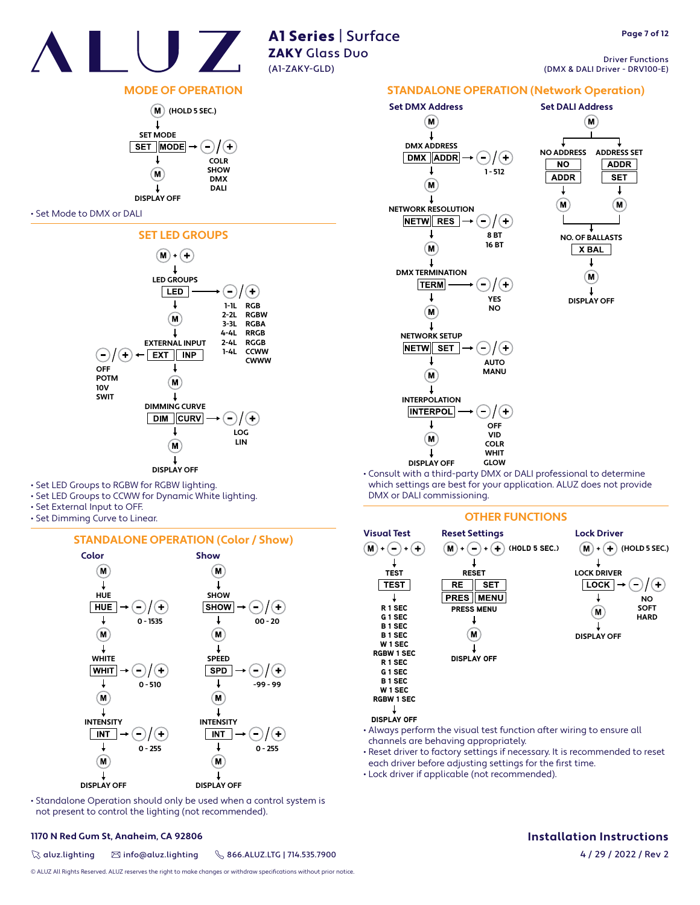

Driver Functions (DMX & DALI Driver - DRV100-E)

# **MODE OF OPERATION**



### • Set Mode to DMX or DALI



- Set LED Groups to RGBW for RGBW lighting.
- Set LED Groups to CCWW for Dynamic White lighting.
- Set External Input to OFF.
- Set Dimming Curve to Linear.

# **STANDALONE OPERATION (Color / Show)**



• Standalone Operation should only be used when a control system is not present to control the lighting (not recommended).

# **1170 N Red Gum St, Anaheim, CA 92806**

 $\%$  aluz.lighting  $\%$  info@aluz.lighting  $\%$  866.ALUZ.LTG | 714.535.7900

© ALUZ All Rights Reserved. ALUZ reserves the right to make changes or withdraw specifications without prior notice.



• Consult with a third-party DMX or DALI professional to determine which settings are best for your application. ALUZ does not provide DMX or DALI commissioning.

**DISPLAY OFF** 

# **OTHER FUNCTIONS**



- Always perform the visual test function after wiring to ensure all channels are behaving appropriately.
- Reset driver to factory settings if necessary. It is recommended to reset each driver before adjusting settings for the first time.
- Lock driver if applicable (not recommended).

# **Installation Instructions**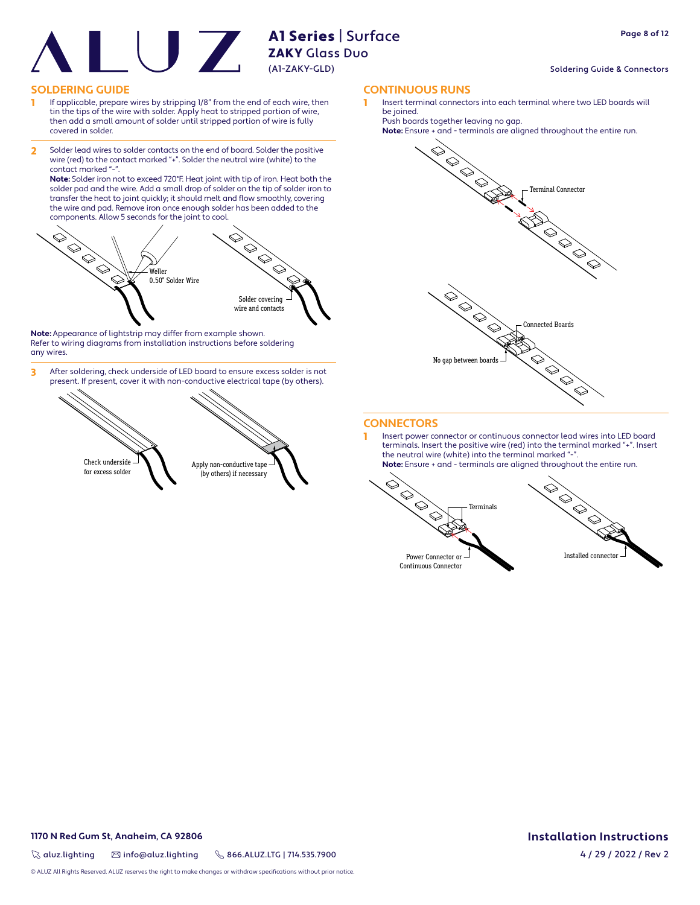### Soldering Guide & Connectors

# **SOLDERING GUIDE CONTINUOUS RUNS**

- 1 If applicable, prepare wires by stripping 1/8" from the end of each wire, then tin the tips of the wire with solder. Apply heat to stripped portion of wire, then add a small amount of solder until stripped portion of wire is fully covered in solder.
- 2 Solder lead wires to solder contacts on the end of board. Solder the positive wire (red) to the contact marked "+". Solder the neutral wire (white) to the contact marked "-

**Note:** Solder iron not to exceed 720°F. Heat joint with tip of iron. Heat both the solder pad and the wire. Add a small drop of solder on the tip of solder iron to transfer the heat to joint quickly; it should melt and flow smoothly, covering the wire and pad. Remove iron once enough solder has been added to the components. Allow 5 seconds for the joint to cool.



**Note:** Appearance of lightstrip may differ from example shown. Refer to wiring diagrams from installation instructions before soldering any wires.

3 After soldering, check underside of LED board to ensure excess solder is not present. If present, cover it with non-conductive electrical tape (by others).



Insert terminal connectors into each terminal where two LED boards will be joined.

Push boards together leaving no gap.





# **CONNECTORS**

1 Insert power connector or continuous connector lead wires into LED board terminals. Insert the positive wire (red) into the terminal marked "+". Insert the neutral wire (white) into the terminal marked "-**Note:** Ensure + and - terminals are aligned throughout the entire run.





Continuous Connector

# **1170 N Red Gum St, Anaheim, CA 92806**

 $\%$  aluz.lighting  $\%$  info@aluz.lighting  $\%$  866.ALUZ.LTG | 714.535.7900

**Installation Instructions** 4 / 29 / 2022 / Rev 2

© ALUZ All Rights Reserved. ALUZ reserves the right to make changes or withdraw specifications without prior notice.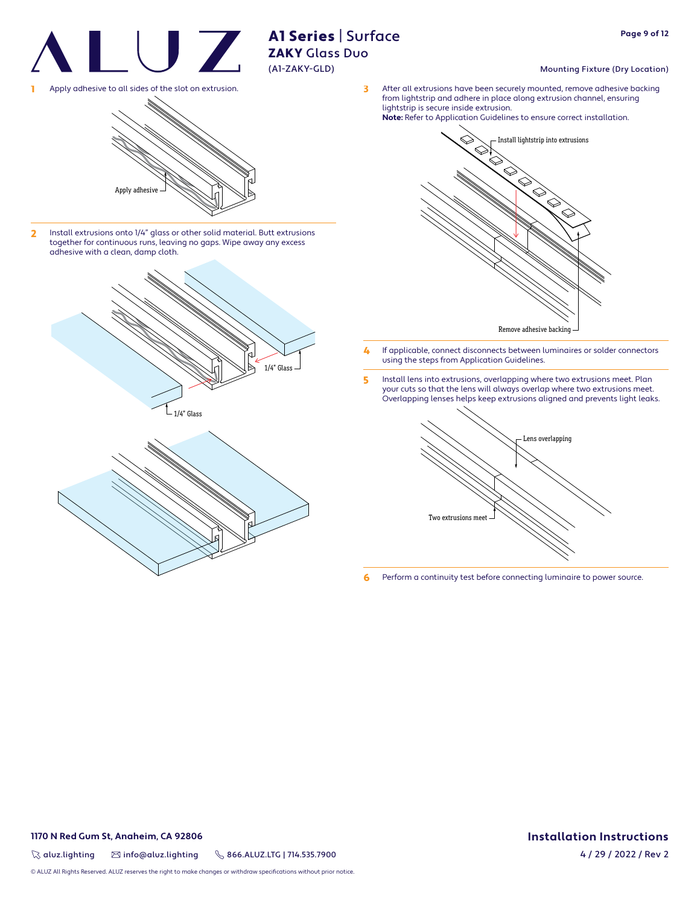

# Mounting Fixture (Dry Location)

1 Apply adhesive to all sides of the slot on extrusion. The state of the state of the slot on extrusion. from lightstrip and adhere in place along extrusion channel, ensuring lightstrip is secure inside extrusion. **Note:** Refer to Application Guidelines to ensure correct installation.

Apply adhesiv

2 Install extrusions onto 1/4" glass or other solid material. Butt extrusions together for continuous runs, leaving no gaps. Wipe away any excess adhesive with a clean, damp cloth.





- **4** If applicable, connect disconnects between luminaires or solder connectors using the steps from Application Guidelines.
- 5 Install lens into extrusions, overlapping where two extrusions meet. Plan your cuts so that the lens will always overlap where two extrusions meet. Overlapping lenses helps keep extrusions aligned and prevents light leaks.



6 Perform a continuity test before connecting luminaire to power source.

# **1170 N Red Gum St, Anaheim, CA 92806**

 $\%$  aluz.lighting  $\%$  info@aluz.lighting  $\%$  866.ALUZ.LTG | 714.535.7900

© ALUZ All Rights Reserved. ALUZ reserves the right to make changes or withdraw specifications without prior notice.

# **Installation Instructions**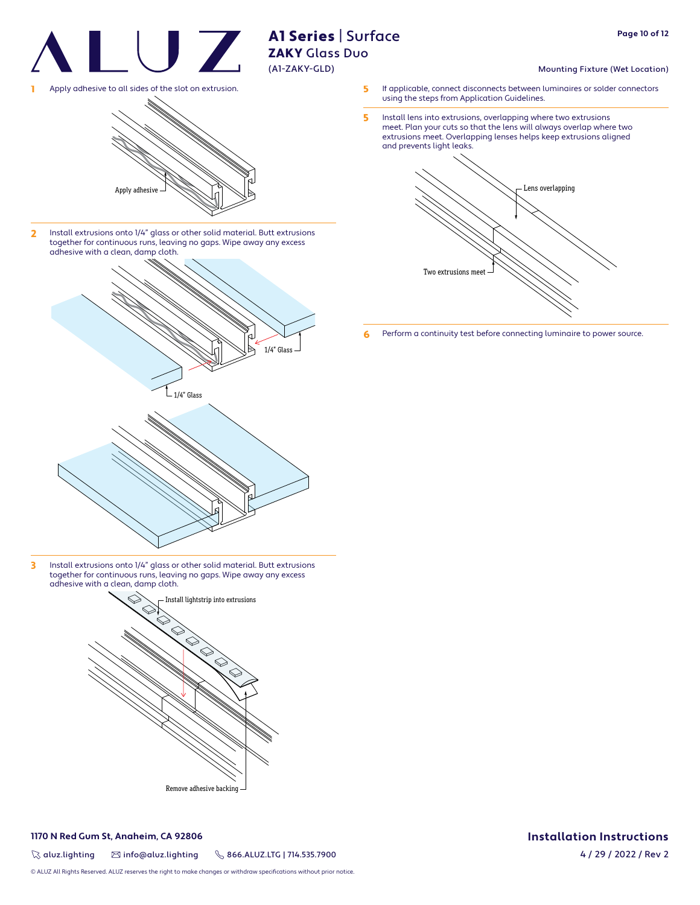

Mounting Fixture (Wet Location)

**Page 10 of 12**

1 Apply adhesive to all sides of the slot on extrusion.



2 Install extrusions onto 1/4" glass or other solid material. Butt extrusions together for continuous runs, leaving no gaps. Wipe away any excess adhesive with a clean, damp cloth.



3 Install extrusions onto 1/4" glass or other solid material. Butt extrusions together for continuous runs, leaving no gaps. Wipe away any excess adhesive with a clean, damp cloth.



# **1170 N Red Gum St, Anaheim, CA 92806**

 $\%$  aluz.lighting  $\%$  info@aluz.lighting  $\%$  866.ALUZ.LTG | 714.535.7900

© ALUZ All Rights Reserved. ALUZ reserves the right to make changes or withdraw specifications without prior notice.

- 5 If applicable, connect disconnects between luminaires or solder connectors using the steps from Application Guidelines.
- **5** Install lens into extrusions, overlapping where two extrusions meet. Plan your cuts so that the lens will always overlap where two extrusions meet. Overlapping lenses helps keep extrusions aligned and prevents light leaks.



**6** Perform a continuity test before connecting luminaire to power source.

# **Installation Instructions**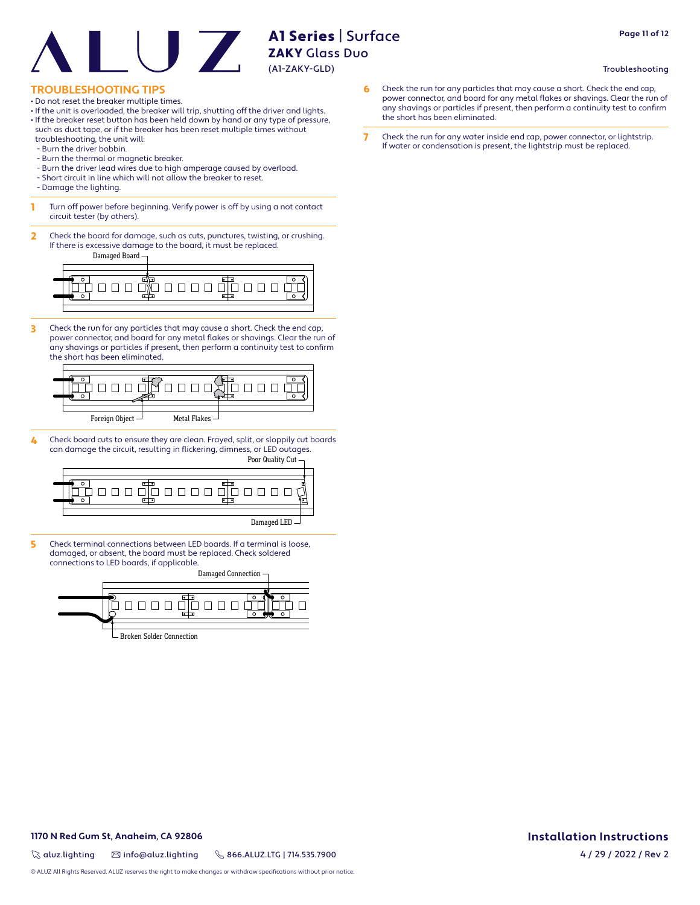# **TROUBLESHOOTING TIPS**

- Do not reset the breaker multiple times.
- If the unit is overloaded, the breaker will trip, shutting off the driver and lights.
- If the breaker reset button has been held down by hand or any type of pressure, such as duct tape, or if the breaker has been reset multiple times without troubleshooting, the unit will:
- Burn the driver bobbin.
- Burn the thermal or magnetic breaker.
- Burn the driver lead wires due to high amperage caused by overload.
- Short circuit in line which will not allow the breaker to reset.
- Damage the lighting.
- **1** Turn off power before beginning. Verify power is off by using a not contact circuit tester (by others).
- 2 Check the board for damage, such as cuts, punctures, twisting, or crushing. If there is excessive damage to the board, it must be replaced.

Damaged Board



3 Check the run for any particles that may cause a short. Check the end cap, power connector, and board for any metal flakes or shavings. Clear the run of any shavings or particles if present, then perform a continuity test to confirm the short has been eliminated.



4 Check board cuts to ensure they are clean. Frayed, split, or sloppily cut boards can damage the circuit, resulting in flickering, dimness, or LED outages.



5 Check terminal connections between LED boards. If a terminal is loose, damaged, or absent, the board must be replaced. Check soldered connections to LED boards, if applicable.

Damaged Connection 000000000 Broken Solder Connection

- 6 Check the run for any particles that may cause a short. Check the end cap, power connector, and board for any metal flakes or shavings. Clear the run of any shavings or particles if present, then perform a continuity test to confirm the short has been eliminated.
- 7 Check the run for any water inside end cap, power connector, or lightstrip. If water or condensation is present, the lightstrip must be replaced.

# **Page 11 of 12**

Troubleshooting

# **Installation Instructions**

 $\%$  aluz.lighting  $\%$  info@aluz.lighting  $\%$  866.ALUZ.LTG | 714.535.7900

**1170 N Red Gum St, Anaheim, CA 92806**